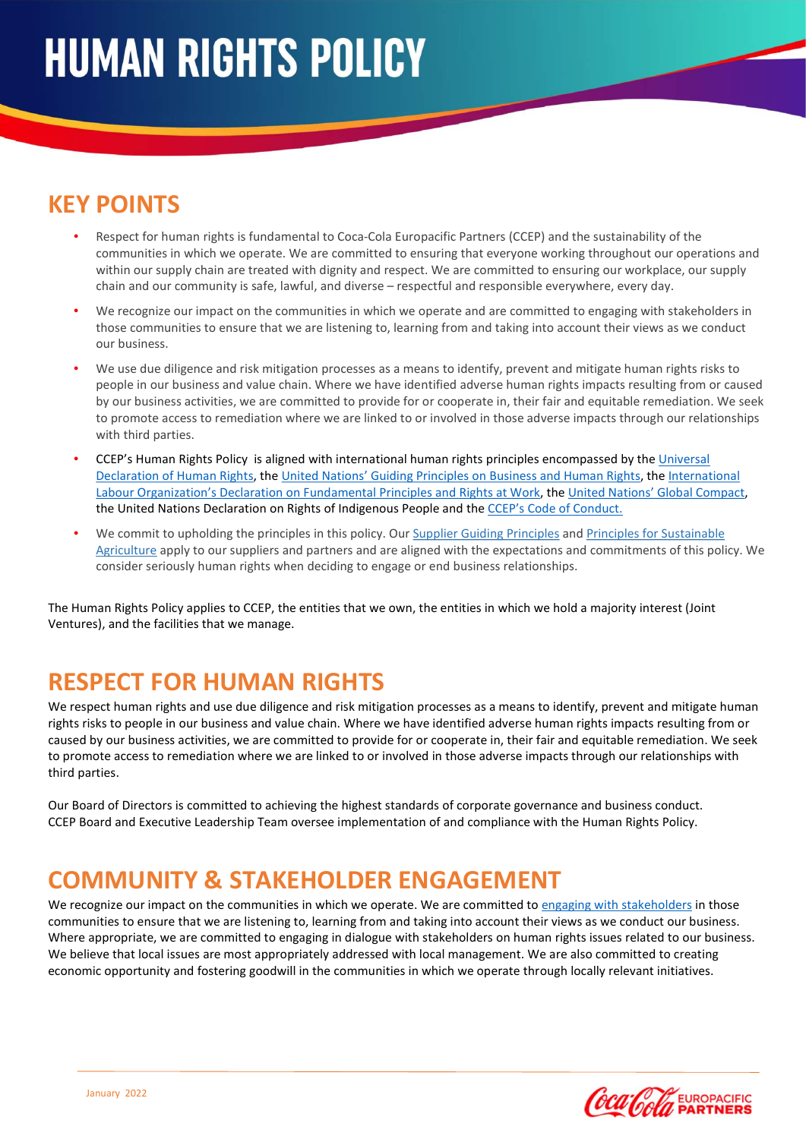# KEY POINTS

- Respect for human rights is fundamental to Coca-Cola Europacific Partners (CCEP) and the sustainability of the communities in which we operate. We are committed to ensuring that everyone working throughout our operations and within our supply chain are treated with dignity and respect. We are committed to ensuring our workplace, our supply chain and our community is safe, lawful, and diverse – respectful and responsible everywhere, every day.
- We recognize our impact on the communities in which we operate and are committed to engaging with stakeholders in those communities to ensure that we are listening to, learning from and taking into account their views as we conduct our business.
- We use due diligence and risk mitigation processes as a means to identify, prevent and mitigate human rights risks to people in our business and value chain. Where we have identified adverse human rights impacts resulting from or caused by our business activities, we are committed to provide for or cooperate in, their fair and equitable remediation. We seek to promote access to remediation where we are linked to or involved in those adverse impacts through our relationships with third parties.
- CCEP's Human Rights Policy is aligned with international human rights principles encompassed by the Universal Declaration of Human Rights, the United Nations' Guiding Principles on Business and Human Rights, the International Labour Organization's Declaration on Fundamental Principles and Rights at Work, the United Nations' Global Compact, the United Nations Declaration on Rights of Indigenous People and the CCEP's Code of Conduct.
- We commit to upholding the principles in this policy. Our Supplier Guiding Principles and Principles for Sustainable Agriculture apply to our suppliers and partners and are aligned with the expectations and commitments of this policy. We consider seriously human rights when deciding to engage or end business relationships.

The Human Rights Policy applies to CCEP, the entities that we own, the entities in which we hold a majority interest (Joint Ventures), and the facilities that we manage.

# RESPECT FOR HUMAN RIGHTS

We respect human rights and use due diligence and risk mitigation processes as a means to identify, prevent and mitigate human rights risks to people in our business and value chain. Where we have identified adverse human rights impacts resulting from or caused by our business activities, we are committed to provide for or cooperate in, their fair and equitable remediation. We seek to promote access to remediation where we are linked to or involved in those adverse impacts through our relationships with third parties.

Our Board of Directors is committed to achieving the highest standards of corporate governance and business conduct. CCEP Board and Executive Leadership Team oversee implementation of and compliance with the Human Rights Policy.

### COMMUNITY & STAKEHOLDER ENGAGEMENT

We recognize our impact on the communities in which we operate. We are committed to engaging with stakeholders in those communities to ensure that we are listening to, learning from and taking into account their views as we conduct our business. Where appropriate, we are committed to engaging in dialogue with stakeholders on human rights issues related to our business. We believe that local issues are most appropriately addressed with local management. We are also committed to creating economic opportunity and fostering goodwill in the communities in which we operate through locally relevant initiatives.

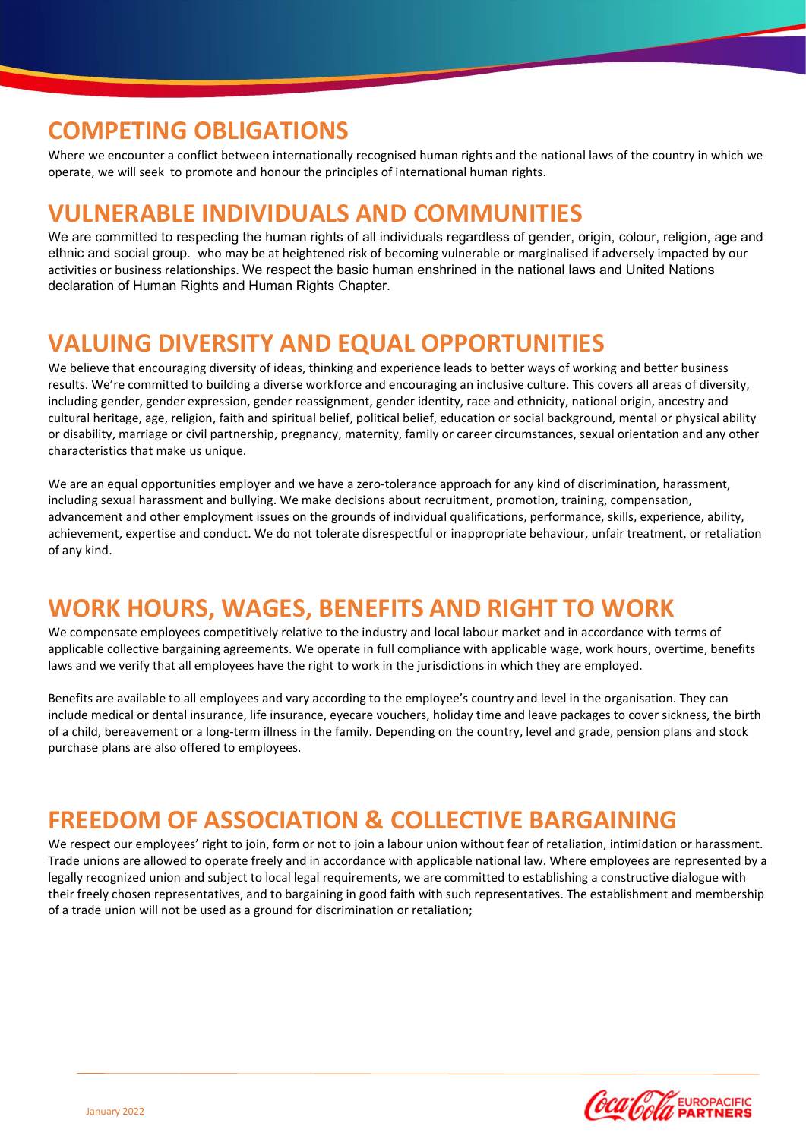#### COMPETING OBLIGATIONS

Where we encounter a conflict between internationally recognised human rights and the national laws of the country in which we operate, we will seek to promote and honour the principles of international human rights.

#### VULNERABLE INDIVIDUALS AND COMMUNITIES

We are committed to respecting the human rights of all individuals regardless of gender, origin, colour, religion, age and ethnic and social group. who may be at heightened risk of becoming vulnerable or marginalised if adversely impacted by our activities or business relationships. We respect the basic human enshrined in the national laws and United Nations declaration of Human Rights and Human Rights Chapter.

### VALUING DIVERSITY AND EQUAL OPPORTUNITIES

We believe that encouraging diversity of ideas, thinking and experience leads to better ways of working and better business results. We're committed to building a diverse workforce and encouraging an inclusive culture. This covers all areas of diversity, including gender, gender expression, gender reassignment, gender identity, race and ethnicity, national origin, ancestry and cultural heritage, age, religion, faith and spiritual belief, political belief, education or social background, mental or physical ability or disability, marriage or civil partnership, pregnancy, maternity, family or career circumstances, sexual orientation and any other characteristics that make us unique.

We are an equal opportunities employer and we have a zero-tolerance approach for any kind of discrimination, harassment, including sexual harassment and bullying. We make decisions about recruitment, promotion, training, compensation, advancement and other employment issues on the grounds of individual qualifications, performance, skills, experience, ability, achievement, expertise and conduct. We do not tolerate disrespectful or inappropriate behaviour, unfair treatment, or retaliation of any kind.

# WORK HOURS, WAGES, BENEFITS AND RIGHT TO WORK

We compensate employees competitively relative to the industry and local labour market and in accordance with terms of applicable collective bargaining agreements. We operate in full compliance with applicable wage, work hours, overtime, benefits laws and we verify that all employees have the right to work in the jurisdictions in which they are employed.

Benefits are available to all employees and vary according to the employee's country and level in the organisation. They can include medical or dental insurance, life insurance, eyecare vouchers, holiday time and leave packages to cover sickness, the birth of a child, bereavement or a long-term illness in the family. Depending on the country, level and grade, pension plans and stock purchase plans are also offered to employees.

### FREEDOM OF ASSOCIATION & COLLECTIVE BARGAINING

We respect our employees' right to join, form or not to join a labour union without fear of retaliation, intimidation or harassment. Trade unions are allowed to operate freely and in accordance with applicable national law. Where employees are represented by a legally recognized union and subject to local legal requirements, we are committed to establishing a constructive dialogue with their freely chosen representatives, and to bargaining in good faith with such representatives. The establishment and membership of a trade union will not be used as a ground for discrimination or retaliation;

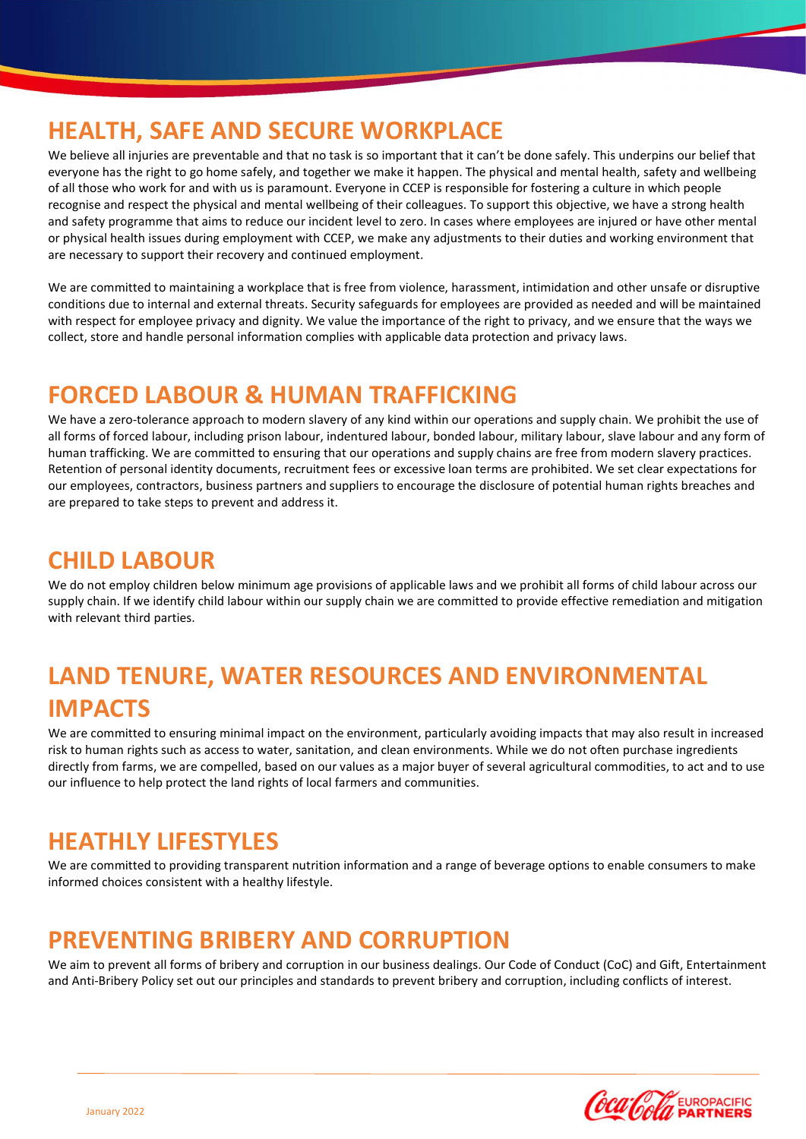# HEALTH, SAFE AND SECURE WORKPLACE

We believe all injuries are preventable and that no task is so important that it can't be done safely. This underpins our belief that everyone has the right to go home safely, and together we make it happen. The physical and mental health, safety and wellbeing of all those who work for and with us is paramount. Everyone in CCEP is responsible for fostering a culture in which people recognise and respect the physical and mental wellbeing of their colleagues. To support this objective, we have a strong health and safety programme that aims to reduce our incident level to zero. In cases where employees are injured or have other mental or physical health issues during employment with CCEP, we make any adjustments to their duties and working environment that are necessary to support their recovery and continued employment.

We are committed to maintaining a workplace that is free from violence, harassment, intimidation and other unsafe or disruptive conditions due to internal and external threats. Security safeguards for employees are provided as needed and will be maintained with respect for employee privacy and dignity. We value the importance of the right to privacy, and we ensure that the ways we collect, store and handle personal information complies with applicable data protection and privacy laws.

# FORCED LABOUR & HUMAN TRAFFICKING

We have a zero-tolerance approach to modern slavery of any kind within our operations and supply chain. We prohibit the use of all forms of forced labour, including prison labour, indentured labour, bonded labour, military labour, slave labour and any form of human trafficking. We are committed to ensuring that our operations and supply chains are free from modern slavery practices. Retention of personal identity documents, recruitment fees or excessive loan terms are prohibited. We set clear expectations for our employees, contractors, business partners and suppliers to encourage the disclosure of potential human rights breaches and are prepared to take steps to prevent and address it.

### CHILD LABOUR

We do not employ children below minimum age provisions of applicable laws and we prohibit all forms of child labour across our supply chain. If we identify child labour within our supply chain we are committed to provide effective remediation and mitigation with relevant third parties.

# LAND TENURE, WATER RESOURCES AND ENVIRONMENTAL IMPACTS

We are committed to ensuring minimal impact on the environment, particularly avoiding impacts that may also result in increased risk to human rights such as access to water, sanitation, and clean environments. While we do not often purchase ingredients directly from farms, we are compelled, based on our values as a major buyer of several agricultural commodities, to act and to use our influence to help protect the land rights of local farmers and communities.

# HEATHLY LIFESTYLES

We are committed to providing transparent nutrition information and a range of beverage options to enable consumers to make informed choices consistent with a healthy lifestyle.

# PREVENTING BRIBERY AND CORRUPTION

We aim to prevent all forms of bribery and corruption in our business dealings. Our Code of Conduct (CoC) and Gift, Entertainment and Anti-Bribery Policy set out our principles and standards to prevent bribery and corruption, including conflicts of interest.